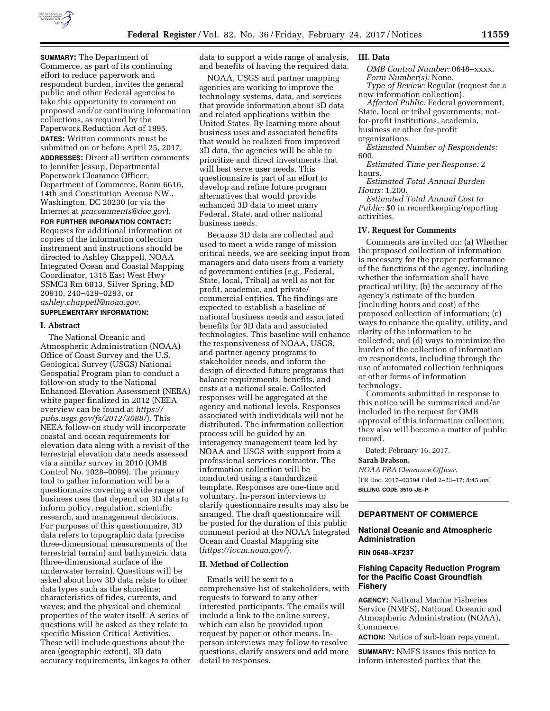

**SUMMARY:** The Department of Commerce, as part of its continuing effort to reduce paperwork and respondent burden, invites the general public and other Federal agencies to take this opportunity to comment on proposed and/or continuing information collections, as required by the Paperwork Reduction Act of 1995. **DATES:** Written comments must be submitted on or before April 25, 2017. **ADDRESSES:** Direct all written comments to Jennifer Jessup, Departmental Paperwork Clearance Officer, Department of Commerce, Room 6616, 14th and Constitution Avenue NW., Washington, DC 20230 (or via the Internet at *[pracomments@doc.gov](mailto:pracomments@doc.gov)*).

**FOR FURTHER INFORMATION CONTACT:**  Requests for additional information or copies of the information collection instrument and instructions should be directed to Ashley Chappell, NOAA Integrated Ocean and Coastal Mapping Coordinator, 1315 East West Hwy SSMC3 Rm 6813, Silver Spring, MD 20910, 240–429–0293, or *[ashley.chappell@noaa.gov](mailto:ashley.chappell@noaa.gov)*. **SUPPLEMENTARY INFORMATION:** 

#### **I. Abstract**

The National Oceanic and Atmospheric Administration (NOAA) Office of Coast Survey and the U.S. Geological Survey (USGS) National Geospatial Program plan to conduct a follow-on study to the National Enhanced Elevation Assessment (NEEA) white paper finalized in 2012 (NEEA overview can be found at *[https://](https://pubs.usgs.gov/fs/2012/3088/) [pubs.usgs.gov/fs/2012/3088/](https://pubs.usgs.gov/fs/2012/3088/)*). This NEEA follow-on study will incorporate coastal and ocean requirements for elevation data along with a revisit of the terrestrial elevation data needs assessed via a similar survey in 2010 (OMB Control No. 1028–0099). The primary tool to gather information will be a questionnaire covering a wide range of business uses that depend on 3D data to inform policy, regulation, scientific research, and management decisions. For purposes of this questionnaire, 3D data refers to topographic data (precise three-dimensional measurements of the terrestrial terrain) and bathymetric data (three-dimensional surface of the underwater terrain). Questions will be asked about how 3D data relate to other data types such as the shoreline; characteristics of tides, currents, and waves; and the physical and chemical properties of the water itself. A series of questions will be asked as they relate to specific Mission Critical Activities. These will include questions about the area (geographic extent), 3D data accuracy requirements, linkages to other data to support a wide range of analysis, and benefits of having the required data.

NOAA, USGS and partner mapping agencies are working to improve the technology systems, data, and services that provide information about 3D data and related applications within the United States. By learning more about business uses and associated benefits that would be realized from improved 3D data, the agencies will be able to prioritize and direct investments that will best serve user needs. This questionnaire is part of an effort to develop and refine future program alternatives that would provide enhanced 3D data to meet many Federal, State, and other national business needs.

Because 3D data are collected and used to meet a wide range of mission critical needs, we are seeking input from managers and data users from a variety of government entities (*e.g.,* Federal, State, local, Tribal) as well as not for profit, academic, and private/ commercial entities. The findings are expected to establish a baseline of national business needs and associated benefits for 3D data and associated technologies. This baseline will enhance the responsiveness of NOAA, USGS, and partner agency programs to stakeholder needs, and inform the design of directed future programs that balance requirements, benefits, and costs at a national scale. Collected responses will be aggregated at the agency and national levels. Responses associated with individuals will not be distributed. The information collection process will be guided by an interagency management team led by NOAA and USGS with support from a professional services contractor. The information collection will be conducted using a standardized template. Responses are one-time and voluntary. In-person interviews to clarify questionnaire results may also be arranged. The draft questionnaire will be posted for the duration of this public comment period at the NOAA Integrated Ocean and Coastal Mapping site (*<https://iocm.noaa.gov/>*).

#### **II. Method of Collection**

Emails will be sent to a comprehensive list of stakeholders, with requests to forward to any other interested participants. The emails will include a link to the online survey, which can also be provided upon request by paper or other means. Inperson interviews may follow to resolve questions, clarify answers and add more detail to responses.

## **III. Data**

*OMB Control Number:* 0648–xxxx. *Form Number(s):* None. *Type of Review:* Regular (request for a

new information collection). *Affected Public:* Federal government, State, local or tribal governments; notfor-profit institutions, academia, business or other for-profit

#### organizations.

*Estimated Number of Respondents:*  600.

*Estimated Time per Response:* 2 hours.

*Estimated Total Annual Burden Hours:* 1,200.

*Estimated Total Annual Cost to Public:* \$0 in recordkeeping/reporting activities.

#### **IV. Request for Comments**

Comments are invited on: (a) Whether the proposed collection of information is necessary for the proper performance of the functions of the agency, including whether the information shall have practical utility; (b) the accuracy of the agency's estimate of the burden (including hours and cost) of the proposed collection of information; (c) ways to enhance the quality, utility, and clarity of the information to be collected; and (d) ways to minimize the burden of the collection of information on respondents, including through the use of automated collection techniques or other forms of information technology.

Comments submitted in response to this notice will be summarized and/or included in the request for OMB approval of this information collection; they also will become a matter of public record.

Dated: February 16, 2017.

## **Sarah Brabson,**

*NOAA PRA Clearance Officer.*  [FR Doc. 2017–03594 Filed 2–23–17; 8:45 am] **BILLING CODE 3510–JE–P** 

# **DEPARTMENT OF COMMERCE**

### **National Oceanic and Atmospheric Administration**

**RIN 0648–XF237** 

## **Fishing Capacity Reduction Program for the Pacific Coast Groundfish Fishery**

**AGENCY:** National Marine Fisheries Service (NMFS), National Oceanic and Atmospheric Administration (NOAA), Commerce.

**ACTION:** Notice of sub-loan repayment.

**SUMMARY:** NMFS issues this notice to inform interested parties that the